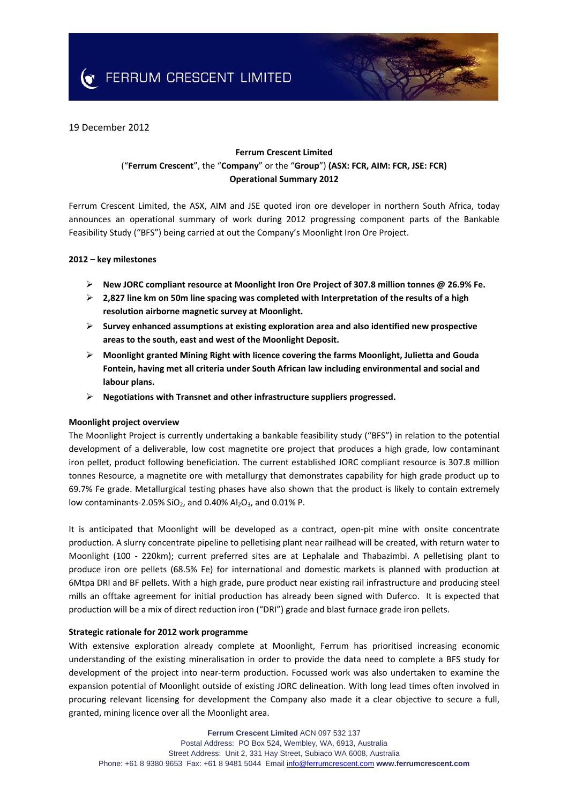**EXAMPLE CONTROLS FERRUM CRESCENT LIMITED** 

# 19 December 2012

# **Ferrum Crescent Limited** ("**Ferrum Crescent**", the "**Company**" or the "**Group**") **(ASX: FCR, AIM: FCR, JSE: FCR) Operational Summary 2012**

Ferrum Crescent Limited, the ASX, AIM and JSE quoted iron ore developer in northern South Africa, today announces an operational summary of work during 2012 progressing component parts of the Bankable Feasibility Study ("BFS") being carried at out the Company's Moonlight Iron Ore Project.

### **2012 – key milestones**

- **New JORC compliant resource at Moonlight Iron Ore Project of 307.8 million tonnes @ 26.9% Fe.**
- **2,827 line km on 50m line spacing was completed with Interpretation of the results of a high resolution airborne magnetic survey at Moonlight.**
- **Survey enhanced assumptions at existing exploration area and also identified new prospective areas to the south, east and west of the Moonlight Deposit.**
- **Moonlight granted Mining Right with licence covering the farms Moonlight, Julietta and Gouda Fontein, having met all criteria under South African law including environmental and social and labour plans.**
- **Negotiations with Transnet and other infrastructure suppliers progressed.**

#### **Moonlight project overview**

The Moonlight Project is currently undertaking a bankable feasibility study ("BFS") in relation to the potential development of a deliverable, low cost magnetite ore project that produces a high grade, low contaminant iron pellet, product following beneficiation. The current established JORC compliant resource is 307.8 million tonnes Resource, a magnetite ore with metallurgy that demonstrates capability for high grade product up to 69.7% Fe grade. Metallurgical testing phases have also shown that the product is likely to contain extremely low contaminants-2.05% SiO<sub>2</sub>, and 0.40% Al<sub>2</sub>O<sub>3</sub>, and 0.01% P.

It is anticipated that Moonlight will be developed as a contract, open‐pit mine with onsite concentrate production. A slurry concentrate pipeline to pelletising plant near railhead will be created, with return water to Moonlight (100 - 220km); current preferred sites are at Lephalale and Thabazimbi. A pelletising plant to produce iron ore pellets (68.5% Fe) for international and domestic markets is planned with production at 6Mtpa DRI and BF pellets. With a high grade, pure product near existing rail infrastructure and producing steel mills an offtake agreement for initial production has already been signed with Duferco. It is expected that production will be a mix of direct reduction iron ("DRI") grade and blast furnace grade iron pellets.

## **Strategic rationale for 2012 work programme**

With extensive exploration already complete at Moonlight, Ferrum has prioritised increasing economic understanding of the existing mineralisation in order to provide the data need to complete a BFS study for development of the project into near-term production. Focussed work was also undertaken to examine the expansion potential of Moonlight outside of existing JORC delineation. With long lead times often involved in procuring relevant licensing for development the Company also made it a clear objective to secure a full, granted, mining licence over all the Moonlight area.